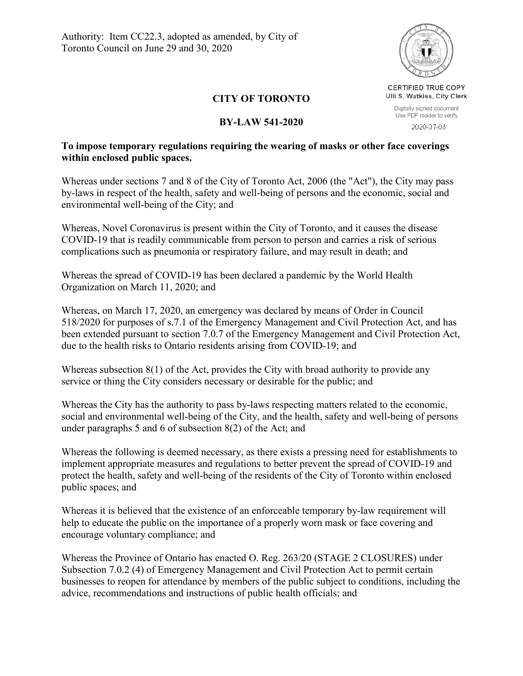

## **CITY OF TORONTO**

## **BY-LAW 541-2020**

## **To impose temporary regulations requiring the wearing of masks or other face coverings within enclosed public spaces.**

Whereas under sections 7 and 8 of the City of Toronto Act, 2006 (the "Act"), the City may pass by-laws in respect of the health, safety and well-being of persons and the economic, social and environmental well-being of the City; and

Whereas, Novel Coronavirus is present within the City of Toronto, and it causes the disease COVID-19 that is readily communicable from person to person and carries a risk of serious complications such as pneumonia or respiratory failure, and may result in death; and

Whereas the spread of COVID-19 has been declared a pandemic by the World Health Organization on March 11, 2020; and

Whereas, on March 17, 2020, an emergency was declared by means of Order in Council 518/2020 for purposes of s.7.1 of the Emergency Management and Civil Protection Act, and has been extended pursuant to section 7.0.7 of the Emergency Management and Civil Protection Act, due to the health risks to Ontario residents arising from COVID-19; and

Whereas subsection 8(1) of the Act, provides the City with broad authority to provide any service or thing the City considers necessary or desirable for the public; and

Whereas the City has the authority to pass by-laws respecting matters related to the economic, social and environmental well-being of the City, and the health, safety and well-being of persons under paragraphs 5 and 6 of subsection 8(2) of the Act; and

Whereas the following is deemed necessary, as there exists a pressing need for establishments to implement appropriate measures and regulations to better prevent the spread of COVID-19 and protect the health, safety and well-being of the residents of the City of Toronto within enclosed public spaces; and

Whereas it is believed that the existence of an enforceable temporary by-law requirement will help to educate the public on the importance of a properly worn mask or face covering and encourage voluntary compliance; and

Whereas the Province of Ontario has enacted O. Reg. 263/20 (STAGE 2 CLOSURES) under Subsection 7.0.2 (4) of Emergency Management and Civil Protection Act to permit certain businesses to reopen for attendance by members of the public subject to conditions, including the advice, recommendations and instructions of public health officials; and

Ulli S. Watkiss, City Clerk Digitally signed document Use PDF reader to verify

CERTIFIED TRUE COPY

2020-07-03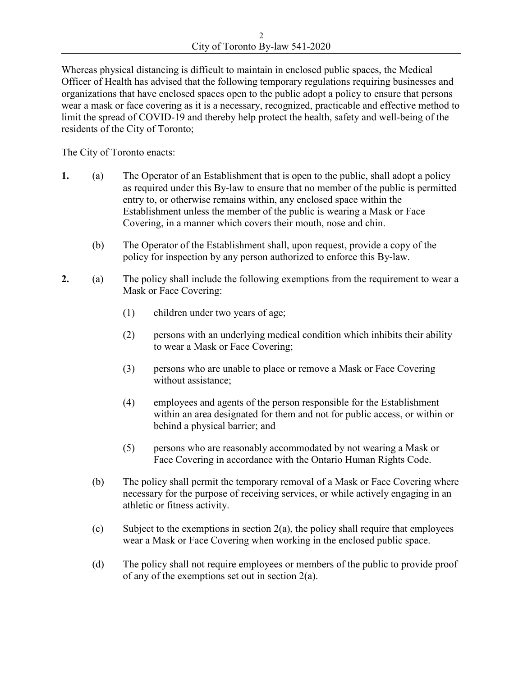2 City of Toronto By-law 541-2020

Whereas physical distancing is difficult to maintain in enclosed public spaces, the Medical Officer of Health has advised that the following temporary regulations requiring businesses and organizations that have enclosed spaces open to the public adopt a policy to ensure that persons wear a mask or face covering as it is a necessary, recognized, practicable and effective method to limit the spread of COVID-19 and thereby help protect the health, safety and well-being of the residents of the City of Toronto;

The City of Toronto enacts:

- **1.** (a) The Operator of an Establishment that is open to the public, shall adopt a policy as required under this By-law to ensure that no member of the public is permitted entry to, or otherwise remains within, any enclosed space within the Establishment unless the member of the public is wearing a Mask or Face Covering, in a manner which covers their mouth, nose and chin.
	- (b) The Operator of the Establishment shall, upon request, provide a copy of the policy for inspection by any person authorized to enforce this By-law.
- **2.** (a) The policy shall include the following exemptions from the requirement to wear a Mask or Face Covering:
	- (1) children under two years of age;
	- (2) persons with an underlying medical condition which inhibits their ability to wear a Mask or Face Covering;
	- (3) persons who are unable to place or remove a Mask or Face Covering without assistance;
	- (4) employees and agents of the person responsible for the Establishment within an area designated for them and not for public access, or within or behind a physical barrier; and
	- (5) persons who are reasonably accommodated by not wearing a Mask or Face Covering in accordance with the Ontario Human Rights Code.
	- (b) The policy shall permit the temporary removal of a Mask or Face Covering where necessary for the purpose of receiving services, or while actively engaging in an athletic or fitness activity.
	- (c) Subject to the exemptions in section  $2(a)$ , the policy shall require that employees wear a Mask or Face Covering when working in the enclosed public space.
	- (d) The policy shall not require employees or members of the public to provide proof of any of the exemptions set out in section 2(a).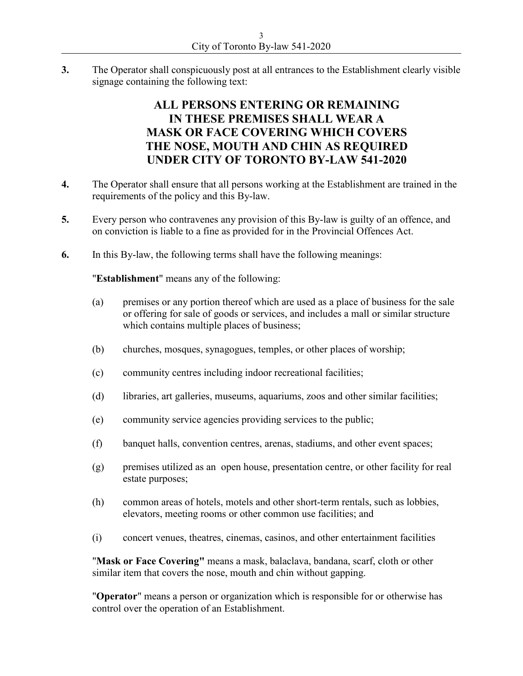**3.** The Operator shall conspicuously post at all entrances to the Establishment clearly visible signage containing the following text:

## **ALL PERSONS ENTERING OR REMAINING IN THESE PREMISES SHALL WEAR A MASK OR FACE COVERING WHICH COVERS THE NOSE, MOUTH AND CHIN AS REQUIRED UNDER CITY OF TORONTO BY-LAW 541-2020**

- **4.** The Operator shall ensure that all persons working at the Establishment are trained in the requirements of the policy and this By-law.
- **5.** Every person who contravenes any provision of this By-law is guilty of an offence, and on conviction is liable to a fine as provided for in the Provincial Offences Act.
- **6.** In this By-law, the following terms shall have the following meanings:

"**Establishment**" means any of the following:

- (a) premises or any portion thereof which are used as a place of business for the sale or offering for sale of goods or services, and includes a mall or similar structure which contains multiple places of business;
- (b) churches, mosques, synagogues, temples, or other places of worship;
- (c) community centres including indoor recreational facilities;
- (d) libraries, art galleries, museums, aquariums, zoos and other similar facilities;
- (e) community service agencies providing services to the public;
- (f) banquet halls, convention centres, arenas, stadiums, and other event spaces;
- (g) premises utilized as an open house, presentation centre, or other facility for real estate purposes;
- (h) common areas of hotels, motels and other short-term rentals, such as lobbies, elevators, meeting rooms or other common use facilities; and
- (i) concert venues, theatres, cinemas, casinos, and other entertainment facilities

"**Mask or Face Covering"** means a mask, balaclava, bandana, scarf, cloth or other similar item that covers the nose, mouth and chin without gapping.

"**Operator**" means a person or organization which is responsible for or otherwise has control over the operation of an Establishment.